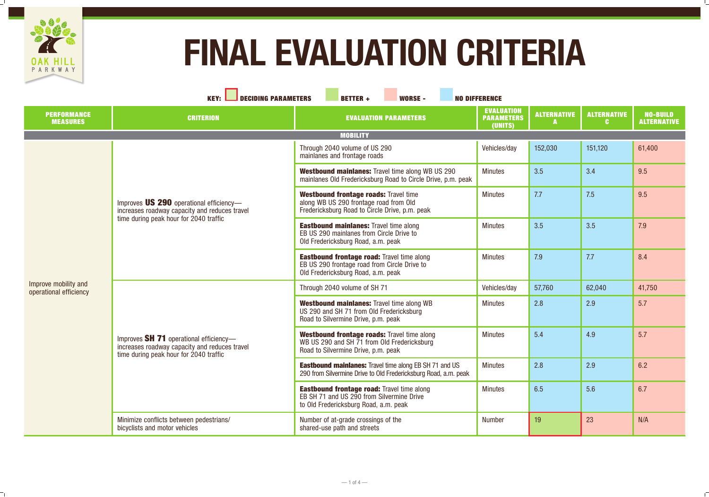

 $\frac{1}{2}$ 

 $\overline{\phantom{a}}$ 

| KEY: I<br><b>SECIDING PARAMETERS</b><br><b>BETTER +</b><br>WORSE -<br><b>NO DIFFERENCE</b> |                                                                                                                                    |                                                                                                                                          |                                                   |                    |                    |                                       |
|--------------------------------------------------------------------------------------------|------------------------------------------------------------------------------------------------------------------------------------|------------------------------------------------------------------------------------------------------------------------------------------|---------------------------------------------------|--------------------|--------------------|---------------------------------------|
| <b>PERFORMANCE</b><br><b>MEASURES</b>                                                      | <b>CRITERION</b>                                                                                                                   | <b>EVALUATION PARAMETERS</b>                                                                                                             | <b>EVALUATION</b><br><b>PARAMETERS</b><br>(UNITS) | <b>ALTERNATIVE</b> | <b>ALTERNATIVE</b> | <b>NO-BUILD</b><br><b>ALTERNATIVE</b> |
|                                                                                            |                                                                                                                                    | <b>MOBILITY</b>                                                                                                                          |                                                   |                    |                    |                                       |
|                                                                                            | Improves US 290 operational efficiency-<br>increases roadway capacity and reduces travel<br>time during peak hour for 2040 traffic | Through 2040 volume of US 290<br>mainlanes and frontage roads                                                                            | Vehicles/day                                      | 152,030            | 151,120            | 61,400                                |
|                                                                                            |                                                                                                                                    | <b>Westbound mainlanes: Travel time along WB US 290</b><br>mainlanes Old Fredericksburg Road to Circle Drive, p.m. peak                  | <b>Minutes</b>                                    | 3.5                | 3.4                | 9.5                                   |
|                                                                                            |                                                                                                                                    | <b>Westbound frontage roads: Travel time</b><br>along WB US 290 frontage road from Old<br>Fredericksburg Road to Circle Drive, p.m. peak | <b>Minutes</b>                                    | 7.7                | 7.5                | 9.5                                   |
|                                                                                            |                                                                                                                                    | <b>Eastbound mainlanes: Travel time along</b><br>EB US 290 mainlanes from Circle Drive to<br>Old Fredericksburg Road, a.m. peak          | <b>Minutes</b>                                    | 3.5                | 3.5                | 7.9                                   |
|                                                                                            |                                                                                                                                    | <b>Eastbound frontage road: Travel time along</b><br>EB US 290 frontage road from Circle Drive to<br>Old Fredericksburg Road, a.m. peak  | <b>Minutes</b>                                    | 7.9                | 7.7                | 8.4                                   |
| Improve mobility and<br>operational efficiency                                             | Improves SH 71 operational efficiency-<br>increases roadway capacity and reduces travel<br>time during peak hour for 2040 traffic  | Through 2040 volume of SH 71                                                                                                             | Vehicles/day                                      | 57,760             | 62,040             | 41,750                                |
|                                                                                            |                                                                                                                                    | <b>Westbound mainlanes: Travel time along WB</b><br>US 290 and SH 71 from Old Fredericksburg<br>Road to Silvermine Drive, p.m. peak      | <b>Minutes</b>                                    | 2.8                | 2.9                | 5.7                                   |
|                                                                                            |                                                                                                                                    | <b>Westbound frontage roads: Travel time along</b><br>WB US 290 and SH 71 from Old Fredericksburg<br>Road to Silvermine Drive, p.m. peak | <b>Minutes</b>                                    | 5.4                | 4.9                | 5.7                                   |
|                                                                                            |                                                                                                                                    | <b>Eastbound mainlanes:</b> Travel time along EB SH 71 and US<br>290 from Silvermine Drive to Old Fredericksburg Road, a.m. peak         | <b>Minutes</b>                                    | 2.8                | 2.9                | 6.2                                   |
|                                                                                            |                                                                                                                                    | <b>Eastbound frontage road: Travel time along</b><br>EB SH 71 and US 290 from Silvermine Drive<br>to Old Fredericksburg Road, a.m. peak  | <b>Minutes</b>                                    | 6.5                | 5.6                | 6.7                                   |
|                                                                                            | Minimize conflicts between pedestrians/<br>bicyclists and motor vehicles                                                           | Number of at-grade crossings of the<br>shared-use path and streets                                                                       | <b>Number</b>                                     | 19                 | 23                 | N/A                                   |

# FINAL EVALUATION CRITERIA

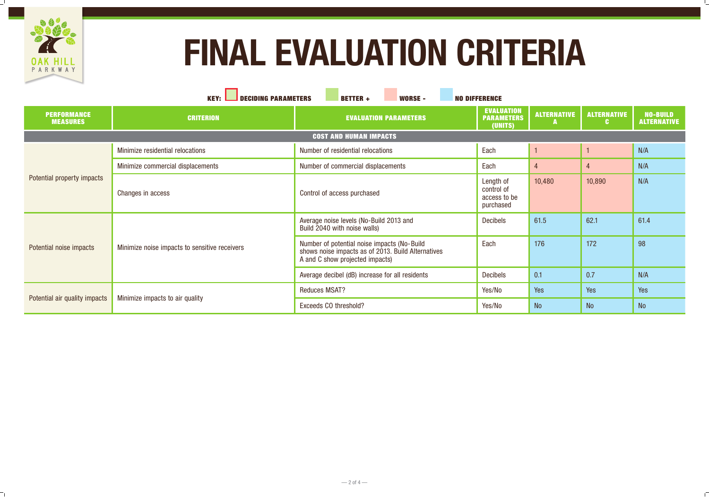

 $\overline{\phantom{a}}_{\perp}$ 

| FINAL EVALUATION CRITERIA<br>PARKWAY<br><b>KEY:</b><br><b>SECIDING PARAMETERS</b><br><b>BETTER +</b><br><b>WORSE -</b><br><b>NO DIFFERENCE</b> |                                               |                                                                                                                                      |                                                      |        |                           |                                       |  |
|------------------------------------------------------------------------------------------------------------------------------------------------|-----------------------------------------------|--------------------------------------------------------------------------------------------------------------------------------------|------------------------------------------------------|--------|---------------------------|---------------------------------------|--|
| <b>PERFORMANCE</b><br><b>MEASURES</b>                                                                                                          | <b>CRITERION</b>                              | <b>EVALUATION PARAMETERS</b>                                                                                                         | EVALUATION<br><b>PARAMETERS</b><br>(UNITS)           |        | ALTERNATIVE   ALTERNATIVE | <b>NO-BUILD</b><br><b>ALTERNATIVE</b> |  |
|                                                                                                                                                |                                               | <b>COST AND HUMAN IMPACTS</b>                                                                                                        |                                                      |        |                           |                                       |  |
| <b>Potential property impacts</b>                                                                                                              | Minimize residential relocations              | <b>Number of residential relocations</b>                                                                                             | Each                                                 |        |                           | N/A                                   |  |
|                                                                                                                                                | Minimize commercial displacements             | Number of commercial displacements                                                                                                   | Each                                                 |        |                           | N/A                                   |  |
|                                                                                                                                                | <b>Changes in access</b>                      | Control of access purchased                                                                                                          | Length of<br>control of<br>access to be<br>purchased | 10,480 | 10,890                    | N/A                                   |  |
| <b>Potential noise impacts</b>                                                                                                                 | Minimize noise impacts to sensitive receivers | Average noise levels (No-Build 2013 and<br>Build 2040 with noise walls)                                                              | <b>Decibels</b>                                      | 61.5   | 62.1                      | 61.4                                  |  |
|                                                                                                                                                |                                               | Number of potential noise impacts (No-Build<br>shows noise impacts as of 2013. Build Alternatives<br>A and C show projected impacts) | Each                                                 | 176    | 172                       | 98                                    |  |
|                                                                                                                                                |                                               | Average decibel (dB) increase for all residents                                                                                      | <b>Decibels</b>                                      | 0.1    | 0.7                       | N/A                                   |  |
| Potential air quality impacts                                                                                                                  | Minimize impacts to air quality               | <b>Reduces MSAT?</b>                                                                                                                 | Yes/No                                               | Yes    | Yes                       | Yes                                   |  |
|                                                                                                                                                |                                               | <b>Exceeds CO threshold?</b>                                                                                                         | Yes/No                                               | NO.    | <b>IVU</b>                | N <sub>O</sub>                        |  |

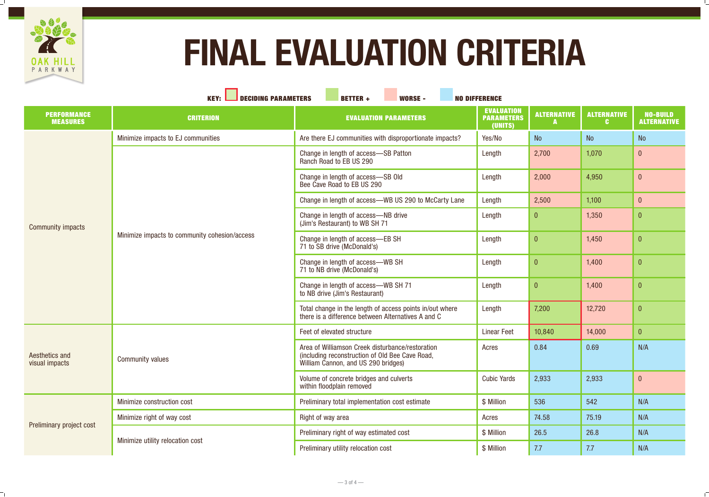

 $\frac{1}{2}$ 

 $\overline{\phantom{a}}$ 

| KEY: $\Box$<br><b>SECIDING PARAMETERS</b><br><b>WORSE -</b><br><b>BETTER +</b><br><b>NO DIFFERENCE</b> |                                               |                                                                                                                                            |                                                   |                    |                    |                                       |
|--------------------------------------------------------------------------------------------------------|-----------------------------------------------|--------------------------------------------------------------------------------------------------------------------------------------------|---------------------------------------------------|--------------------|--------------------|---------------------------------------|
| <b>PERFORMANCE</b><br><b>MEASURES</b>                                                                  | <b>CRITERION</b>                              | <b>EVALUATION PARAMETERS</b>                                                                                                               | <b>EVALUATION</b><br><b>PARAMETERS</b><br>(UNITS) | <b>ALTERNATIVE</b> | <b>ALTERNATIVE</b> | <b>NO-BUILD</b><br><b>ALTERNATIVE</b> |
|                                                                                                        | Minimize impacts to EJ communities            | Are there EJ communities with disproportionate impacts?                                                                                    | Yes/No                                            | <b>No</b>          | No                 | <b>No</b>                             |
|                                                                                                        | Minimize impacts to community cohesion/access | Change in length of access-SB Patton<br><b>Ranch Road to EB US 290</b>                                                                     | Length                                            | 2,700              | 1,070              | $\bf{0}$                              |
|                                                                                                        |                                               | Change in length of access-SB Old<br>Bee Cave Road to EB US 290                                                                            | Length                                            | 2,000              | 4,950              | $\boldsymbol{0}$                      |
|                                                                                                        |                                               | Change in length of access—WB US 290 to McCarty Lane                                                                                       | Length                                            | 2,500              | 1,100              | $\vert 0 \vert$                       |
| <b>Community impacts</b>                                                                               |                                               | Change in length of access-NB drive<br>(Jim's Restaurant) to WB SH 71                                                                      | Length                                            | $\vert 0 \vert$    | 1,350              | $\vert 0 \vert$                       |
|                                                                                                        |                                               | Change in length of access-EB SH<br>71 to SB drive (McDonald's)                                                                            | Length                                            | $\vert 0 \vert$    | 1,450              | $\vert 0 \vert$                       |
|                                                                                                        |                                               | Change in length of access-WB SH<br>71 to NB drive (McDonald's)                                                                            | Length                                            | $\overline{0}$     | 1,400              | $\overline{0}$                        |
|                                                                                                        |                                               | Change in length of access—WB SH 71<br>to NB drive (Jim's Restaurant)                                                                      | Length                                            | $\vert 0 \vert$    | 1,400              | $\overline{0}$                        |
|                                                                                                        |                                               | Total change in the length of access points in/out where<br>there is a difference between Alternatives A and C                             | Length                                            | 7,200              | 12,720             | $\vert 0 \vert$                       |
|                                                                                                        | <b>Community values</b>                       | Feet of elevated structure                                                                                                                 | <b>Linear Feet</b>                                | 10,840             | 14,000             | $\overline{0}$                        |
| <b>Aesthetics and</b><br>visual impacts                                                                |                                               | Area of Williamson Creek disturbance/restoration<br>(including reconstruction of Old Bee Cave Road,<br>William Cannon, and US 290 bridges) | Acres                                             | 0.84               | 0.69               | N/A                                   |
|                                                                                                        |                                               | Volume of concrete bridges and culverts<br>within floodplain removed                                                                       | <b>Cubic Yards</b>                                | 2,933              | 2,933              | $\boldsymbol{0}$                      |
| <b>Preliminary project cost</b>                                                                        | <b>Minimize construction cost</b>             | Preliminary total implementation cost estimate                                                                                             | \$ Million                                        | 536                | 542                | N/A                                   |
|                                                                                                        | Minimize right of way cost                    | <b>Right of way area</b>                                                                                                                   | Acres                                             | 74.58              | 75.19              | N/A                                   |
|                                                                                                        | Minimize utility relocation cost              | Preliminary right of way estimated cost                                                                                                    | \$ Million                                        | 26.5               | 26.8               | N/A                                   |
|                                                                                                        |                                               | <b>Preliminary utility relocation cost</b>                                                                                                 | \$ Million                                        | 7.7                | 7.7                | N/A                                   |

# FINAL EVALUATION CRITERIA